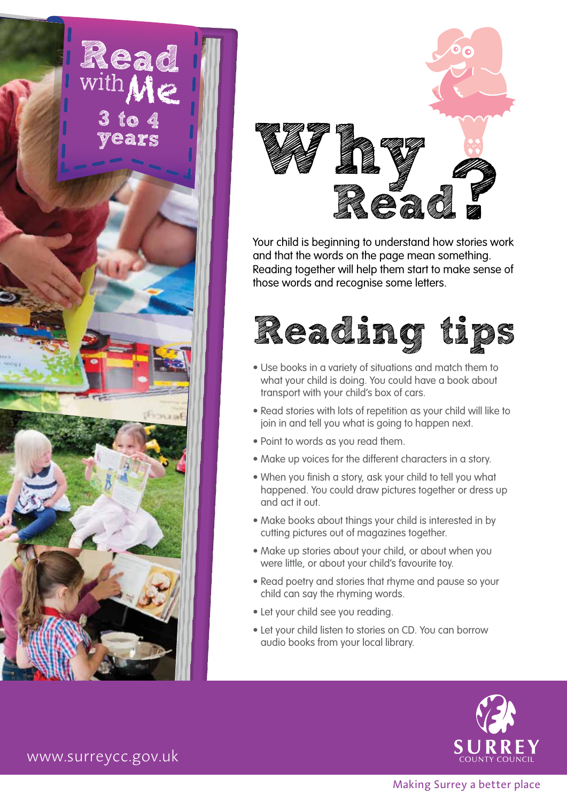



Your child is beginning to understand how stories work and that the words on the page mean something. Reading together will help them start to make sense of those words and recognise some letters.



- Use books in a variety of situations and match them to what your child is doing. You could have a book about transport with your child's box of cars.
- Read stories with lots of repetition as your child will like to join in and tell you what is going to happen next.
- Point to words as you read them.
- Make up voices for the different characters in a story.
- When you finish a story, ask your child to tell you what happened. You could draw pictures together or dress up and act it out.
- Make books about things your child is interested in by cutting pictures out of magazines together.
- Make up stories about your child, or about when you were little, or about your child's favourite toy.
- Read poetry and stories that rhyme and pause so your child can say the rhyming words.
- Let your child see you reading.
- Let your child listen to stories on CD. You can borrow audio books from your local library.



www.surreycc.gov.uk